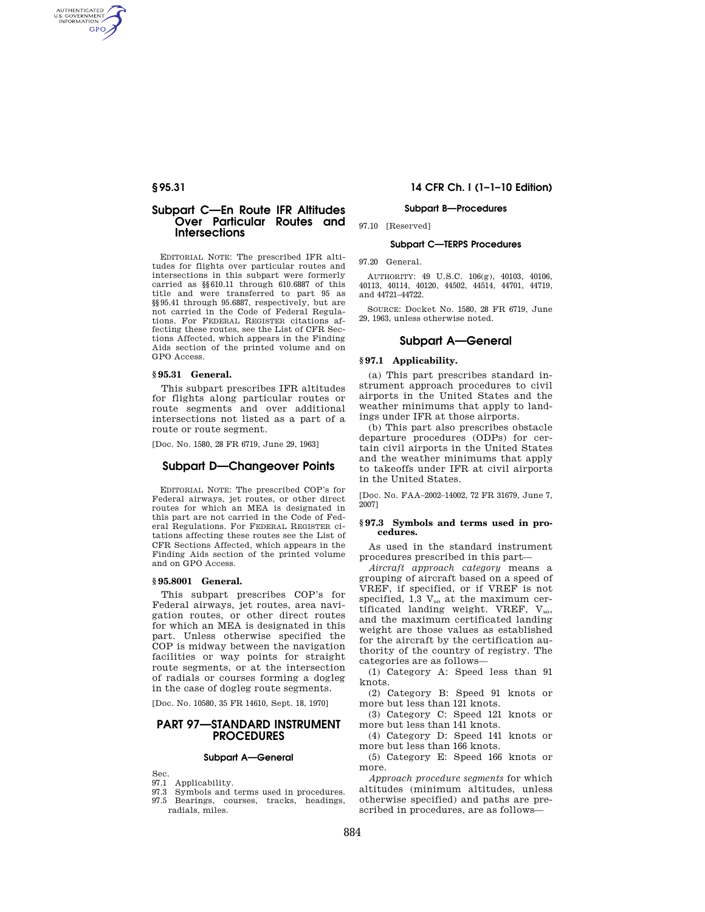AUTHENTICATED<br>U.S. GOVERNMENT<br>INFORMATION **GPO** 

## **Subpart C—En Route IFR Altitudes Over Particular Routes and Intersections**

EDITORIAL NOTE: The prescribed IFR altitudes for flights over particular routes and intersections in this subpart were formerly carried as §§610.11 through 610.6887 of this title and were transferred to part 95 as §§95.41 through 95.6887, respectively, but are not carried in the Code of Federal Regulations. For FEDERAL REGISTER citations affecting these routes, see the List of CFR Sections Affected, which appears in the Finding Aids section of the printed volume and on GPO Access.

## **§ 95.31 General.**

This subpart prescribes IFR altitudes for flights along particular routes or route segments and over additional intersections not listed as a part of a route or route segment.

[Doc. No. 1580, 28 FR 6719, June 29, 1963]

# **Subpart D—Changeover Points**

EDITORIAL NOTE: The prescribed COP's for Federal airways, jet routes, or other direct routes for which an MEA is designated in this part are not carried in the Code of Federal Regulations. For FEDERAL REGISTER citations affecting these routes see the List of CFR Sections Affected, which appears in the Finding Aids section of the printed volume and on GPO Access.

## **§ 95.8001 General.**

This subpart prescribes COP's for Federal airways, jet routes, area navigation routes, or other direct routes for which an MEA is designated in this part. Unless otherwise specified the COP is midway between the navigation facilities or way points for straight route segments, or at the intersection of radials or courses forming a dogleg in the case of dogleg route segments.

[Doc. No. 10580, 35 FR 14610, Sept. 18, 1970]

# **PART 97—STANDARD INSTRUMENT PROCEDURES**

## **Subpart A—General**

Sec.

- 97.1 Applicability.
- 97.3 Symbols and terms used in procedures. 97.5 Bearings, courses, tracks, headings, radials, miles.

## **§ 95.31 14 CFR Ch. I (1–1–10 Edition)**

## **Subpart B—Procedures**

97.10 [Reserved]

# **Subpart C—TERPS Procedures**

97.20 General.

AUTHORITY: 49 U.S.C. 106(g), 40103, 40106, 40113, 40114, 40120, 44502, 44514, 44701, 44719, and 44721–44722.

SOURCE: Docket No. 1580, 28 FR 6719, June 29, 1963, unless otherwise noted.

# **Subpart A—General**

## **§ 97.1 Applicability.**

(a) This part prescribes standard instrument approach procedures to civil airports in the United States and the weather minimums that apply to landings under IFR at those airports.

(b) This part also prescribes obstacle departure procedures (ODPs) for certain civil airports in the United States and the weather minimums that apply to takeoffs under IFR at civil airports in the United States.

[Doc. No. FAA–2002–14002, 72 FR 31679, June 7, 2007]

### **§ 97.3 Symbols and terms used in procedures.**

As used in the standard instrument procedures prescribed in this part—

*Aircraft approach category* means a grouping of aircraft based on a speed of VREF, if specified, or if VREF is not specified,  $1.3$   $V_{so}$  at the maximum certificated landing weight. VREF, V<sub>so</sub>, and the maximum certificated landing weight are those values as established for the aircraft by the certification authority of the country of registry. The categories are as follows—

(1) Category A: Speed less than 91 knots.

(2) Category B: Speed 91 knots or more but less than 121 knots.

(3) Category C: Speed 121 knots or more but less than 141 knots.

(4) Category D: Speed 141 knots or more but less than 166 knots.

(5) Category E: Speed 166 knots or more.

*Approach procedure segments* for which altitudes (minimum altitudes, unless otherwise specified) and paths are prescribed in procedures, are as follows—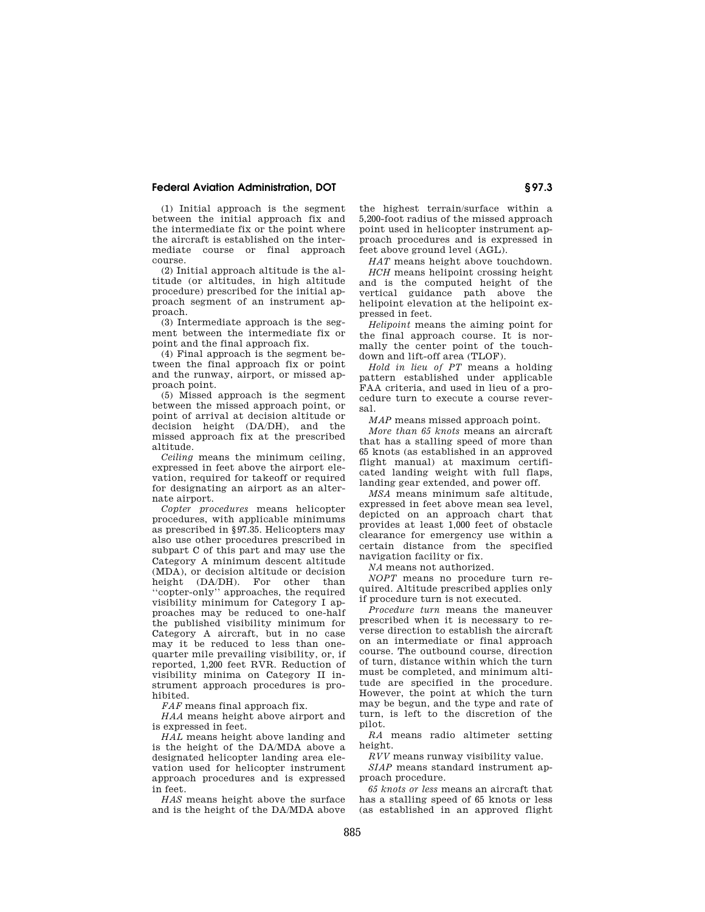# **Federal Aviation Administration, DOT § 97.3**

(1) Initial approach is the segment between the initial approach fix and the intermediate fix or the point where the aircraft is established on the intermediate course or final approach course.

(2) Initial approach altitude is the altitude (or altitudes, in high altitude procedure) prescribed for the initial approach segment of an instrument approach.

(3) Intermediate approach is the segment between the intermediate fix or point and the final approach fix.

(4) Final approach is the segment between the final approach fix or point and the runway, airport, or missed approach point.

(5) Missed approach is the segment between the missed approach point, or point of arrival at decision altitude or decision height (DA/DH), and the missed approach fix at the prescribed altitude.

*Ceiling* means the minimum ceiling, expressed in feet above the airport elevation, required for takeoff or required for designating an airport as an alternate airport.

*Copter procedures* means helicopter procedures, with applicable minimums as prescribed in §97.35. Helicopters may also use other procedures prescribed in subpart C of this part and may use the Category A minimum descent altitude (MDA), or decision altitude or decision height (DA/DH). For other than ''copter-only'' approaches, the required visibility minimum for Category I approaches may be reduced to one-half the published visibility minimum for Category A aircraft, but in no case may it be reduced to less than onequarter mile prevailing visibility, or, if reported, 1,200 feet RVR. Reduction of visibility minima on Category II instrument approach procedures is prohibited.

*FAF* means final approach fix.

*HAA* means height above airport and is expressed in feet.

*HAL* means height above landing and is the height of the DA/MDA above a designated helicopter landing area elevation used for helicopter instrument approach procedures and is expressed in feet.

*HAS* means height above the surface and is the height of the DA/MDA above

the highest terrain/surface within a 5,200-foot radius of the missed approach point used in helicopter instrument approach procedures and is expressed in feet above ground level (AGL).

*HAT* means height above touchdown. *HCH* means helipoint crossing height and is the computed height of the vertical guidance path above the helipoint elevation at the helipoint expressed in feet.

*Helipoint* means the aiming point for the final approach course. It is normally the center point of the touchdown and lift-off area (TLOF).

*Hold in lieu of PT* means a holding pattern established under applicable FAA criteria, and used in lieu of a procedure turn to execute a course reversal.

*MAP* means missed approach point.

*More than 65 knots* means an aircraft that has a stalling speed of more than 65 knots (as established in an approved flight manual) at maximum certificated landing weight with full flaps, landing gear extended, and power off.

*MSA* means minimum safe altitude, expressed in feet above mean sea level, depicted on an approach chart that provides at least 1,000 feet of obstacle clearance for emergency use within a certain distance from the specified navigation facility or fix.

*NA* means not authorized.

*NOPT* means no procedure turn required. Altitude prescribed applies only if procedure turn is not executed.

*Procedure turn* means the maneuver prescribed when it is necessary to reverse direction to establish the aircraft on an intermediate or final approach course. The outbound course, direction of turn, distance within which the turn must be completed, and minimum altitude are specified in the procedure. However, the point at which the turn may be begun, and the type and rate of turn, is left to the discretion of the pilot.

*RA* means radio altimeter setting height.

*RVV* means runway visibility value.

*SIAP* means standard instrument approach procedure.

*65 knots or less* means an aircraft that has a stalling speed of 65 knots or less (as established in an approved flight